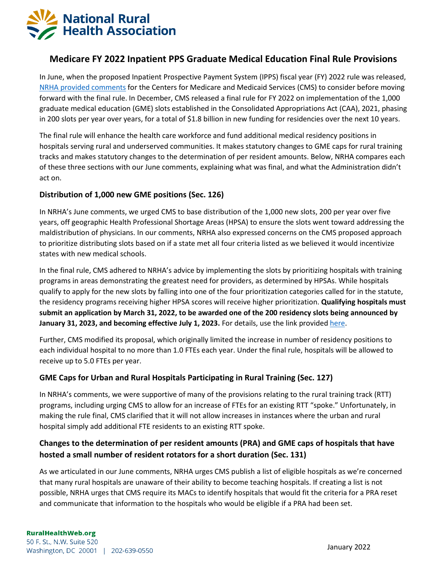

# **Medicare FY 2022 Inpatient PPS Graduate Medical Education Final Rule Provisions**

In June, when the proposed Inpatient Prospective Payment System (IPPS) fiscal year (FY) 2022 rule was released, [NRHA provided comments](https://www.ruralhealth.us/getmedia/1411735f-d02e-4bf2-bec1-626fa0be128a/NRHA-Comments-on-Medicare-FY-2022-IPPS-for-Acute-Care-Hospitals-and-the-Long-Term-Care-Hospital-Prospective-Payment-System.aspx) for the Centers for Medicare and Medicaid Services (CMS) to consider before moving forward with the final rule. In December, CMS released a final rule for FY 2022 on implementation of the 1,000 graduate medical education (GME) slots established in the Consolidated Appropriations Act (CAA), 2021, phasing in 200 slots per year over years, for a total of \$1.8 billion in new funding for residencies over the next 10 years.

The final rule will enhance the health care workforce and fund additional medical residency positions in hospitals serving rural and underserved communities. It makes statutory changes to GME caps for rural training tracks and makes statutory changes to the determination of per resident amounts. Below, NRHA compares each of these three sections with our June comments, explaining what was final, and what the Administration didn't act on.

#### **Distribution of 1,000 new GME positions (Sec. 126)**

In NRHA's June comments, we urged CMS to base distribution of the 1,000 new slots, 200 per year over five years, off geographic Health Professional Shortage Areas (HPSA) to ensure the slots went toward addressing the maldistribution of physicians. In our comments, NRHA also expressed concerns on the CMS proposed approach to prioritize distributing slots based on if a state met all four criteria listed as we believed it would incentivize states with new medical schools.

In the final rule, CMS adhered to NRHA's advice by implementing the slots by prioritizing hospitals with training programs in areas demonstrating the greatest need for providers, as determined by HPSAs. While hospitals qualify to apply for the new slots by falling into one of the four prioritization categories called for in the statute, the residency programs receiving higher HPSA scores will receive higher prioritization. **Qualifying hospitals must submit an application by March 31, 2022, to be awarded one of the 200 residency slots being announced by January 31, 2023, and becoming effective July 1, 2023.** For details, use the link provided [here.](https://www.cms.gov/Medicare/Medicare-Fee-for-Service-Payment/AcuteInpatientPPS/DGME)

Further, CMS modified its proposal, which originally limited the increase in number of residency positions to each individual hospital to no more than 1.0 FTEs each year. Under the final rule, hospitals will be allowed to receive up to 5.0 FTEs per year.

### **GME Caps for Urban and Rural Hospitals Participating in Rural Training (Sec. 127)**

In NRHA's comments, we were supportive of many of the provisions relating to the rural training track (RTT) programs, including urging CMS to allow for an increase of FTEs for an existing RTT "spoke." Unfortunately, in making the rule final, CMS clarified that it will not allow increases in instances where the urban and rural hospital simply add additional FTE residents to an existing RTT spoke.

## **Changes to the determination of per resident amounts (PRA) and GME caps of hospitals that have hosted a small number of resident rotators for a short duration (Sec. 131)**

As we articulated in our June comments, NRHA urges CMS publish a list of eligible hospitals as we're concerned that many rural hospitals are unaware of their ability to become teaching hospitals. If creating a list is not possible, NRHA urges that CMS require its MACs to identify hospitals that would fit the criteria for a PRA reset and communicate that information to the hospitals who would be eligible if a PRA had been set.